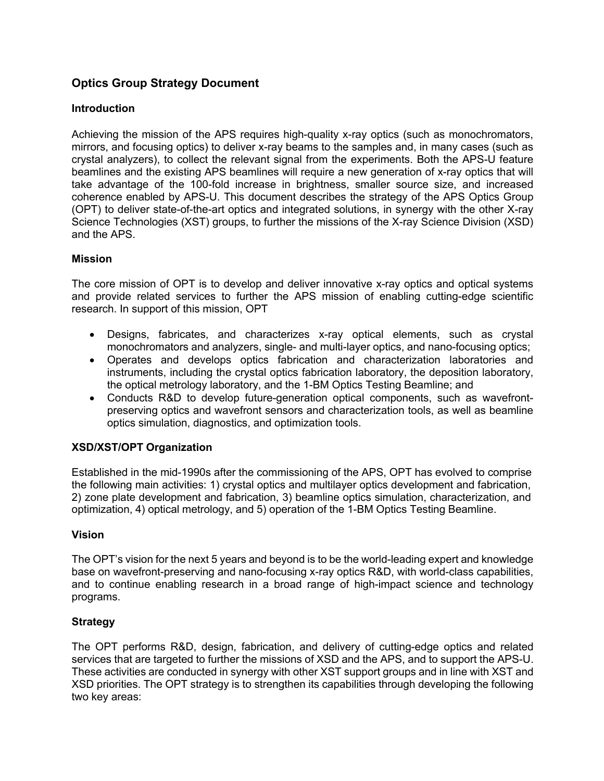# **Optics Group Strategy Document**

# **Introduction**

Achieving the mission of the APS requires high-quality x-ray optics (such as monochromators, mirrors, and focusing optics) to deliver x-ray beams to the samples and, in many cases (such as crystal analyzers), to collect the relevant signal from the experiments. Both the APS-U feature beamlines and the existing APS beamlines will require a new generation of x-ray optics that will take advantage of the 100-fold increase in brightness, smaller source size, and increased coherence enabled by APS-U. This document describes the strategy of the APS Optics Group (OPT) to deliver state-of-the-art optics and integrated solutions, in synergy with the other X-ray Science Technologies (XST) groups, to further the missions of the X-ray Science Division (XSD) and the APS.

#### **Mission**

The core mission of OPT is to develop and deliver innovative x-ray optics and optical systems and provide related services to further the APS mission of enabling cutting-edge scientific research. In support of this mission, OPT

- Designs, fabricates, and characterizes x-ray optical elements, such as crystal monochromators and analyzers, single- and multi-layer optics, and nano-focusing optics;
- Operates and develops optics fabrication and characterization laboratories and instruments, including the crystal optics fabrication laboratory, the deposition laboratory, the optical metrology laboratory, and the 1-BM Optics Testing Beamline; and
- Conducts R&D to develop future-generation optical components, such as wavefrontpreserving optics and wavefront sensors and characterization tools, as well as beamline optics simulation, diagnostics, and optimization tools.

# **XSD/XST/OPT Organization**

Established in the mid-1990s after the commissioning of the APS, OPT has evolved to comprise the following main activities: 1) crystal optics and multilayer optics development and fabrication, 2) zone plate development and fabrication, 3) beamline optics simulation, characterization, and optimization, 4) optical metrology, and 5) operation of the 1-BM Optics Testing Beamline.

#### **Vision**

The OPT's vision for the next 5 years and beyond is to be the world-leading expert and knowledge base on wavefront-preserving and nano-focusing x-ray optics R&D, with world-class capabilities, and to continue enabling research in a broad range of high-impact science and technology programs.

#### **Strategy**

The OPT performs R&D, design, fabrication, and delivery of cutting-edge optics and related services that are targeted to further the missions of XSD and the APS, and to support the APS-U. These activities are conducted in synergy with other XST support groups and in line with XST and XSD priorities. The OPT strategy is to strengthen its capabilities through developing the following two key areas: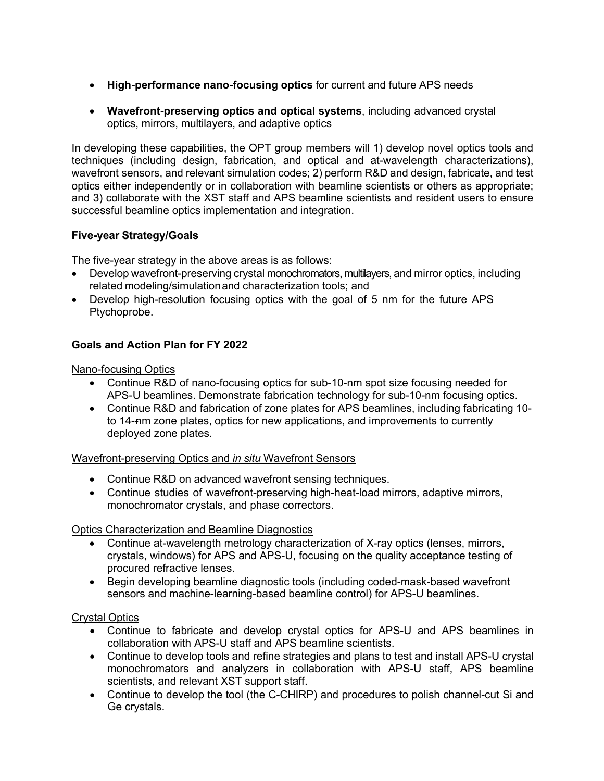- **High-performance nano-focusing optics** for current and future APS needs
- **Wavefront-preserving optics and optical systems**, including advanced crystal optics, mirrors, multilayers, and adaptive optics

In developing these capabilities, the OPT group members will 1) develop novel optics tools and techniques (including design, fabrication, and optical and at-wavelength characterizations), wavefront sensors, and relevant simulation codes; 2) perform R&D and design, fabricate, and test optics either independently or in collaboration with beamline scientists or others as appropriate; and 3) collaborate with the XST staff and APS beamline scientists and resident users to ensure successful beamline optics implementation and integration.

## **Five-year Strategy/Goals**

The five-year strategy in the above areas is as follows:

- Develop wavefront-preserving crystal monochromators, multilayers, and mirror optics, including related modeling/simulation and characterization tools; and
- Develop high-resolution focusing optics with the goal of 5 nm for the future APS Ptychoprobe.

## **Goals and Action Plan for FY 2022**

Nano-focusing Optics

- Continue R&D of nano-focusing optics for sub-10-nm spot size focusing needed for APS-U beamlines. Demonstrate fabrication technology for sub-10-nm focusing optics.
- Continue R&D and fabrication of zone plates for APS beamlines, including fabricating 10 to 14--nm zone plates, optics for new applications, and improvements to currently deployed zone plates.

Wavefront-preserving Optics and *in situ* Wavefront Sensors

- Continue R&D on advanced wavefront sensing techniques.
- Continue studies of wavefront-preserving high-heat-load mirrors, adaptive mirrors, monochromator crystals, and phase correctors.

#### Optics Characterization and Beamline Diagnostics

- Continue at-wavelength metrology characterization of X-ray optics (lenses, mirrors, crystals, windows) for APS and APS-U, focusing on the quality acceptance testing of procured refractive lenses.
- Begin developing beamline diagnostic tools (including coded-mask-based wavefront sensors and machine-learning-based beamline control) for APS-U beamlines.

#### Crystal Optics

- Continue to fabricate and develop crystal optics for APS-U and APS beamlines in collaboration with APS-U staff and APS beamline scientists.
- Continue to develop tools and refine strategies and plans to test and install APS-U crystal monochromators and analyzers in collaboration with APS-U staff, APS beamline scientists, and relevant XST support staff.
- Continue to develop the tool (the C-CHIRP) and procedures to polish channel-cut Si and Ge crystals.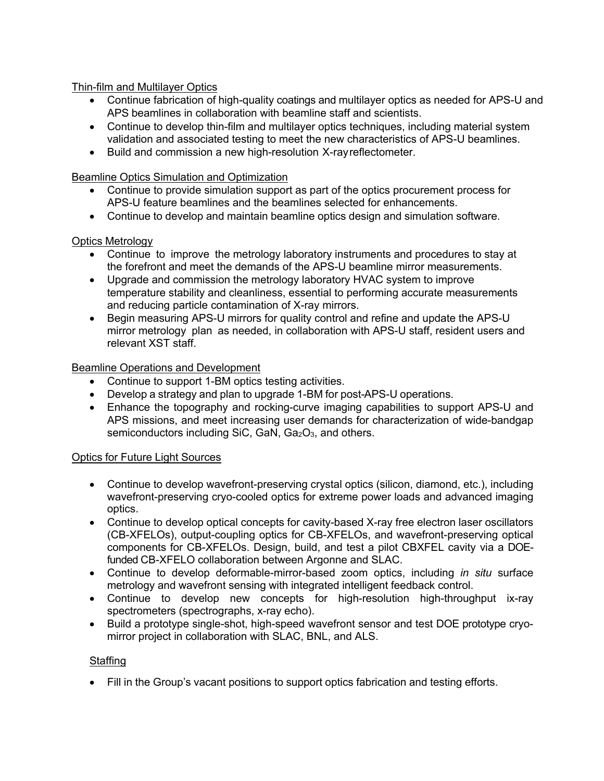Thin-film and Multilayer Optics

- Continue fabrication of high-quality coatings and multilayer optics as needed for APS-U and APS beamlines in collaboration with beamline staff and scientists.
- Continue to develop thin-film and multilayer optics techniques, including material system validation and associated testing to meet the new characteristics of APS-U beamlines.
- Build and commission a new high-resolution X-ray reflectometer.

Beamline Optics Simulation and Optimization

- Continue to provide simulation support as part of the optics procurement process for APS-U feature beamlines and the beamlines selected for enhancements.
- Continue to develop and maintain beamline optics design and simulation software.

#### Optics Metrology

- Continue to improve the metrology laboratory instruments and procedures to stay at the forefront and meet the demands of the APS-U beamline mirror measurements.
- Upgrade and commission the metrology laboratory HVAC system to improve temperature stability and cleanliness, essential to performing accurate measurements and reducing particle contamination of X-ray mirrors.
- Begin measuring APS-U mirrors for quality control and refine and update the APS-U mirror metrology plan as needed, in collaboration with APS-U staff, resident users and relevant XST staff.

#### Beamline Operations and Development

- Continue to support 1-BM optics testing activities.
- Develop a strategy and plan to upgrade 1-BM for post-APS-U operations.
- Enhance the topography and rocking-curve imaging capabilities to support APS-U and APS missions, and meet increasing user demands for characterization of wide-bandgap semiconductors including SiC, GaN,  $Ga<sub>2</sub>O<sub>3</sub>$ , and others.

#### Optics for Future Light Sources

- Continue to develop wavefront-preserving crystal optics (silicon, diamond, etc.), including wavefront-preserving cryo-cooled optics for extreme power loads and advanced imaging optics.
- Continue to develop optical concepts for cavity-based X-ray free electron laser oscillators (CB-XFELOs), output-coupling optics for CB-XFELOs, and wavefront-preserving optical components for CB-XFELOs. Design, build, and test a pilot CBXFEL cavity via a DOEfunded CB-XFELO collaboration between Argonne and SLAC.
- Continue to develop deformable-mirror-based zoom optics, including *in situ* surface metrology and wavefront sensing with integrated intelligent feedback control.
- Continue to develop new concepts for high-resolution high-throughput ix-ray spectrometers (spectrographs, x-ray echo).
- Build a prototype single-shot, high-speed wavefront sensor and test DOE prototype cryomirror project in collaboration with SLAC, BNL, and ALS.

#### Staffing

• Fill in the Group's vacant positions to support optics fabrication and testing efforts.